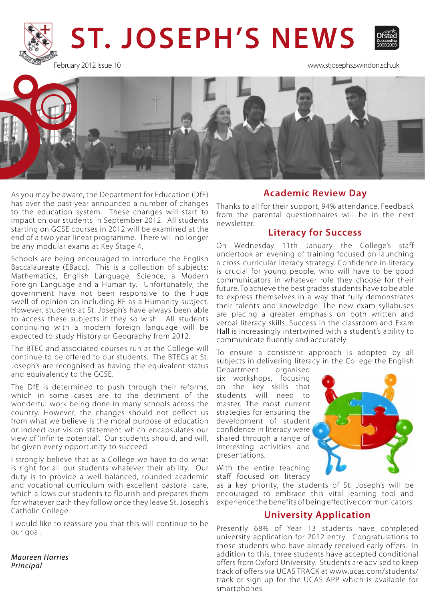

February 2012 Issue 10 www.stjosephs.swindon.sch.uk



As you may be aware, the Department for Education (DfE) has over the past year announced a number of changes to the education system. These changes will start to impact on our students in September 2012. All students starting on GCSE courses in 2012 will be examined at the end of a two year linear programme. There will no longer be any modular exams at Key Stage 4.

Schools are being encouraged to introduce the English Baccalaureate (EBacc). This is a collection of subjects: Mathematics, English Language, Science, a Modern Foreign Language and a Humanity. Unfortunately, the government have not been responsive to the huge swell of opinion on including RE as a Humanity subject. However, students at St. Joseph's have always been able to access these subjects if they so wish. All students continuing with a modern foreign language will be expected to study History or Geography from 2012.

The BTEC and associated courses run at the College will continue to be offered to our students. The BTECs at St. Joseph's are recognised as having the equivalent status and equivalency to the GCSE.

The DfE is determined to push through their reforms, which in some cases are to the detriment of the wonderful work being done in many schools across the country. However, the changes should not deflect us from what we believe is the moral purpose of education or indeed our vision statement which encapsulates our view of 'infinite potential'. Our students should, and will, be given every opportunity to succeed.

I strongly believe that as a College we have to do what is right for all our students whatever their ability. Our duty is to provide a well balanced, rounded academic and vocational curriculum with excellent pastoral care, which allows our students to flourish and prepares them for whatever path they follow once they leave St. Joseph's Catholic College.

I would like to reassure you that this will continue to be our goal.

*Maureen Harries Principal*

### **Academic Review Day**

Thanks to all for their support, 94% attendance. Feedback from the parental questionnaires will be in the next newsletter.

#### **Literacy for Success**

On Wednesday 11th January the College's staff undertook an evening of training focused on launching a cross-curricular literacy strategy. Confidence in literacy is crucial for young people, who will have to be good communicators in whatever role they choose for their future. To achieve the best grades students have to be able to express themselves in a way that fully demonstrates their talents and knowledge. The new exam syllabuses are placing a greater emphasis on both written and verbal literacy skills. Success in the classroom and Exam Hall is increasingly intertwined with a student's ability to communicate fluently and accurately.

To ensure a consistent approach is adopted by all subjects in delivering literacy in the College the English

Department organised six workshops, focusing on the key skills that students will need to master. The most current strategies for ensuring the development of student confidence in literacy were shared through a range of interesting activities and presentations.



With the entire teaching staff focused on literacy

as a key priority, the students of St. Joseph's will be encouraged to embrace this vital learning tool and experience the benefits of being effective communicators.

#### **University Application**

Presently 68% of Year 13 students have completed university application for 2012 entry. Congratulations to those students who have already received early offers. In addition to this, three students have accepted conditional offers from Oxford University. Students are advised to keep track of offers via UCAS TRACK at www.ucas.com/students/ track or sign up for the UCAS APP which is available for smartphones.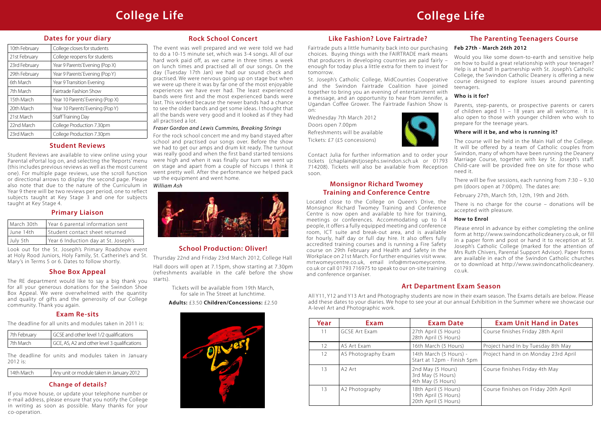# **Dates for your diary**

| 10th February | College closes for students      |
|---------------|----------------------------------|
| 21st February | College reopens for students     |
| 23rd February | Year 9 Parents' Evening (Pop X)  |
| 29th February | Year 9 Parents' Evening (Pop Y)  |
| 6th March     | Year 9 Transition Evening        |
| 7th March     | Fairtrade Fashion Show           |
| 15th March    | Year 10 Parents' Evening (Pop X) |
| 20th March    | Year 10 Parents' Evening (Pop Y) |
| 21st March    | Staff Training Day               |
| 22nd March    | College Production 7.30pm        |
| 23rd March    | College Production 7.30pm        |

# **College Life College Life**

# **Exam Re-sits**

The deadline for all units and modules taken in 2011 is:

| 7th February |           | I GCSE and other level 1/2 qualifications    |  |
|--------------|-----------|----------------------------------------------|--|
|              | 7th March | GCE, AS, A2 and other level 3 qualifications |  |

The deadline for units and modules taken in January 2012 is:

| 14th March | Any unit or module taken in January 2012 |
|------------|------------------------------------------|
|            |                                          |

| Year | Exam                 | <b>Exam Date</b>                                                     | <b>Exam Unit Hand in Dates</b>       |
|------|----------------------|----------------------------------------------------------------------|--------------------------------------|
| 11   | <b>GCSE Art Exam</b> | 27th April (5 Hours)<br>28th April (5 Hours)                         | Course finishes Friday 28th April    |
| 12   | AS Art Exam          | 16th March (5 Hours)                                                 | Project hand In by Tuesday 8th May   |
| 12   | AS Photography Exam  | 14th March (5 Hours) -<br>Start at 12pm - Finish 5pm                 | Project hand in on Monday 23rd April |
| 13   | A2 Art               | 2nd May (5 Hours)<br>3rd May (5 Hours)<br>4th May (5 Hours)          | Course finishes Friday 4th May       |
| 13   | A2 Photography       | 18th April (5 Hours)<br>19th April (5 Hours)<br>20th April (5 Hours) | Course finishes on Friday 20th April |

# **Art Department Exam Season**

All Y11, Y12 and Y13 Art and Photography students are now in their exam season. The Exams details are below. Please add these dates to your diaries. We hope to see your at our annual Exhibition in the Summer where we showcase our A-level Art and Photographic work.

# **Student Reviews**

Student Reviews are available to view online using your Parental ePortal log on, and selecting the 'Reports' menu (this includes previous reviews as well as the most current one). For multiple page reviews, use the scroll function or directional arrows to display the second page. Please also note that due to the nature of the Curriculum in Year 9 there will be two reviews per period, one to reflect subjects taught at Key Stage 3 and one for subjects taught at Key Stage 4.

# **Rock School Concert**

The event was well prepared and we were told we had to do a 10-15 minute set, which was 3-4 songs. All of our hard work paid off, as we came in three times a week on lunch times and practised all of our songs. On the day ( Tuesday 17th Jan) we had our sound check and practised. We were nervous going up on stage but when we were up there it was by far one of the most enjoyable experiences we have ever had. The least experienced bands were first and the most experienced bands were last. This worked because the newer bands had a chance to see the older bands and get some ideas. I thought that all the bands were very good and it looked as if they had all practised a lot.

### *Fraser Gordon and Lewis Cummins, Breaking Strings*

For the rock school concert me and my band stayed after school and practised our songs over. Before the show we had to get our amps and drum kit ready. The turnout was really good and when the first band started tensions were high and when it was finally our turn we went up on stage and apart from a couple of hiccups I think it went pretty well. After the performance we helped pack up the equipment and went home.

#### *William Ash*



## **The Parenting Teenagers Course**

#### **Feb 27th - March 26th 2012**

Would you like some down-to-earth and sensitive help on how to build a great relationship with your teenager? Help is at hand! In partnership with St. Joseph's Catholic College, the Swindon Catholic Deanery is offering a new course designed to explore issues around parenting teenagers.

#### **Who is it for?**

Parents, step-parents, or prospective parents or carers of children aged 11 – 18 years are all welcome. It is also open to those with younger children who wish to prepare for the teenage years.

#### **Where will it be, and who is running it?**

There will be five sessions, each running from 7:30 – 9.30 pm (doors open at 7:00pm). The dates are:

February 27th, March 5th, 12th, 19th and 26th.

The course will be held in the Main Hall of the College. It will be offered by a team of Catholic couples from Swindon, many of whom have been running the Deanery Marriage Course, together with key St. Joseph's staff. Child-care will be provided free on site for those who need it. Contact Julia for further information and to order your tickets (chaplain@stjosephs.swindon.sch.uk or 01793 714208). Tickets will also be available from Reception soon.

# **Like Fashion? Love Fairtrade?**

Fairtrade puts a little humanity back into our purchasing choices. Buying things with the FAIRTRADE mark means that producers in developing countries are paid fairly – enough for today plus a little extra for them to invest for tomorrow.

St. Joseph's Catholic College, MidCounties Cooperative and the Swindon Fairtrade Coalition have joined together to bring you an evening of entertainment with a message, and an opportunity to hear from Jennifer, a Ugandan Coffee Grower. The Fairtrade Fashion Show is on:

Wednesday 7th March 2012 Doors open 7.00pm Refreshments will be available Tickets: £7 (£5 concessions)



There is no charge for the course – donations will be accepted with pleasure. **How to Enrol** Please enrol in advance by either completing the online form at http://www.swindoncatholicdeanery.co.uk, or fill in a paper form and post or hand it to reception at St. Joseph's Catholic College (marked for the attention of Mrs Ruth Chivers, Parental Support Advisor). Paper forms are available in each of the Swindon Catholic churches or to download at http://www.swindoncatholicdeanery. co.uk. Located close to the College on Queen's Drive, the Monsignor Richard Twomey Training and Conference Centre is now open and available to hire for training, meetings or conferences. Accommodating up to 14 people, it offers a fully equipped meeting and conference room, ICT suite and break-out area, and is available for hourly, half day or full day hire. It also offers fully accredited training courses and is running a Fire Safety course on 29th February and Health and Safety in the Workplace on 21st March. For further enquiries visit www. mrtwomeycentre.co.uk, email info@mrtwomeycentre. co.uk or call 01793 716975 to speak to our on-site training and conference organiser.

# **School Production: Oliver!**

Thursday 22nd and Friday 23rd March 2012, College Hall

Hall doors will open at 7.15pm, show starting at 7.30pm (refreshments available in the café before the show starts).

> Tickets will be available from 19th March, for sale in The Street at lunchtime.

#### **Adults:** £3.50 **Children/Concessions:** £2.50



# **Shoe Box Appeal**

The RE department would like to say a big thank you for all your generous donations for the Swindon Shoe Box Appeal. We were overwhelmed with the quantity and quality of gifts and the generosity of our College community. Thank you again.

# **Monsignor Richard Twomey Training and Conference Centre**

# **Primary Liaison**

| March 30th | Year 6 parental information sent     |
|------------|--------------------------------------|
| June 14th  | Student contact sheet returned       |
| July 5th   | Year 6 Induction day at St. Joseph's |

Look out for the St. Joseph's Primary Roadshow event at Holy Rood Juniors, Holy Family, St. Catherine's and St. Mary's in Terms 5 or 6. Dates to follow shortly.

# **Change of details?**

If you move house, or update your telephone number or e-mail address, please ensure that you notify the College in writing as soon as possible. Many thanks for your co-operation.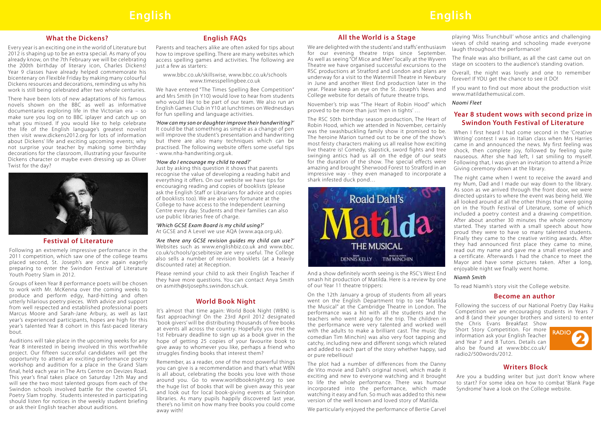# **All the World is a Stage**

November's trip was "The Heart of Robin Hood" which proved to be more than just 'men in tights' …

And a show definitely worth seeing is the RSC's West End smash hit production of Matilda. Here is a review by one of our Year 11 theatre trippers:

We are delighted with the students' and staffs' enthusiasm for our evening theatre trips since September. As well as seeing "Of Mice and Men" locally at the Wyvern Theatre we have organised successful excursions to the RSC productions at Stratford and London and plans are underway for a visit to the Watermill Theatre in Newbury in June and another West End production later in the year. Please keep an eye on the St. Joseph's News and College website for details of future theatre trips. laugh throughout the performance! The finale was also brilliant, as all the cast came out on stage on scooters to the audience's standing ovation. Overall, the night was lovely and one to remember forever! If YOU get the chance to see it DO! If you want to find out more about the production visit www.matildathemusical.com.

On the 12th January a group of students from all years went on the English Department trip to see "Matilda the Musical" at the Cambridge Theatre in London. The performance was a hit with all the students and the teachers who went along for the trip. The children in the performance were very talented and worked well with the adults to make a brilliant cast. The music (by comedian Tim Minchin) was also very foot tapping and catchy, including new and different songs which related and added to each part of the story whether happy, sad or pure rebellious!

The plot had a number of differences from the Danny de Vito movie and Dahl's original novel, which made it exciting and new to everyone watching and it brought to life the whole performance. There was humour incorporated into the performance, which made watching it easy and fun. So much was added to this new version of the well known and loved story of Matilda.

We particularly enjoyed the performance of Bertie Carvel

playing 'Miss Trunchbull' whose antics and challenging views of child rearing and schooling made everyone

#### *Naomi Fleet*

### **Writers Block**

Are you a budding writer but just don't know where to start? For some idea on how to combat 'Blank Page Syndrome' have a look on the College website.

# **What the Dickens?**

Every year is an exciting one in the world of Literature but 2012 is shaping up to be an extra special. As many of you already know, on the 7th February we will be celebrating the 200th birthday of literary icon, Charles Dickens! Year 9 classes have already helped commemorate his bicentenary on Flexible Friday by making many colourful Dickens resources and decorations, reminding us why his work is still being celebrated after two whole centuries.

There have been lots of new adaptations of his famous novels shown on the BBC as well as informative documentaries exploring life in the Victorian era – so make sure you log on to BBC iplayer and catch up on what you missed. If you would like to help celebrate the life of the English language's greatest novelist then visit www.dickens2012.org for lots of information about Dickens' life and exciting upcoming events; why not surprise your teacher by making some birthday decorations for the classroom, illustrating your favourite Dickens character or maybe even dressing up as Oliver Twist for the day?



# **Festival of Literature**

Following an extremely impressive performance in the 2011 competition, which saw one of the college teams placed second, St. Joseph's are once again eagerly preparing to enter the Swindon Festival of Literature Youth Poetry Slam in 2012.

Groups of keen Year 8 performance poets will be chosen to work with Mr. McKenna over the coming weeks to produce and perform edgy, hard-hitting and often utterly hilarious poetry pieces. With advice and support from well respected and established professional poets Marcus Moore and Sarah-Jane Arbury, as well as last year's experienced participants, hopes are high for this year's talented Year 8 cohort in this fast-paced literary bout.

The RSC 50th birthday season production, The Heart of Robin Hood, which we attended in November, certainly was the swashbuckling family show it promised to be. The heroine Marion turned out to be one of the show's most feisty characters making us all realise how exciting live theatre is! Comedy, slapstick, sword fights and tree swinging antics had us all on the edge of our seats for the duration of the show. The special effects were amazing and brought Sherwood Forest to Stratford in an impressive way - they even managed to incorporate a shark infested duck pond… **Swindon Youth Festival of Literature** When I first heard I had come second in the 'Creative Writing' contest I was in Italian class when Mrs Harries came in and announced the news. My first feeling was shock, then complete joy, followed by feeling quite nauseous. After she had left, I sat smiling to myself. Following that, I was given an invitation to attend a Prize Giving ceremony down at the library. The night came when I went to receive the award and



Auditions will take place in the upcoming weeks for any Year 8 interested in being involved in this worthwhile project. Our fifteen successful candidates will get the opportunity to attend an exciting performance poetry workshop and audition for a place in the Grand Slam final, held each year in The Arts Centre on Devizes Road. This year's final takes place on Saturday 12th May and will see the two most talented groups from each of the Swindon schools involved battle for the coveted SFL Poetry Slam trophy. Students interested in participating should listen for notices in the weekly student briefing or ask their English teacher about auditions.

# **English FAQs**

Parents and teachers alike are often asked for tips about how to improve spelling. There are many websites which access spelling games and activities. The following are just a few as starters:

www.bbc.co.uk/skillswise, www.bbc.co.uk/schools www.timesspellingbee.co.uk

We have entered "The Times Spelling Bee Competition" and Mrs Smith (in Y10) would love to hear from students who would like to be part of our team. We also run an English Games Club in Y10 at lunchtimes on Wednesdays for fun spelling and language activities.

*'How can my son or daughter improve their handwriting?'* It could be that something as simple as a change of pen will improve the student's presentation and handwriting but there are also many techniques which can be practised. The following website offers some useful tips - www.nha-handwriting.org.uk.

#### *'How do I encourage my child to read?'*

Just by asking this question it shows that parents recognise the value of developing a reading habit and everything it offers. On our website we have tips for encouraging reading and copies of booklists (please ask the English Staff or Librarians for advice and copies of booklists too). We are also very fortunate at the College to have access to the Independent Learning Centre every day. Students and their families can also use public libraries free of charge.

*'Which GCSE Exam Board is my child using?'* At GCSE and A Level we use AQA (www.aqa.org.uk).

*'Are there any GCSE revision guides my child can use?'* Websites such as www.englishbiz.co.uk and www.bbc. co.uk/schools/gcsebitesize are very useful. The College also sells a number of revision booklets (at a heavily discounted rate) at Reception.

Please remind your child to ask their English Teacher if they have more questions. You can contact Anya Smith on asmith@stjosephs.swindon.sch.uk.

# **World Book Night**

It's almost that time again: World Book Night ( WBN) is fast approaching! On the 23rd April 2012 designated 'book givers' will be distributing thousands of free books at events all across the country. Hopefully you met the 1st February deadline to sign up as a book giver in the hope of getting 25 copies of your favourite book to give away to whomever you like, perhaps a friend who struggles finding books that interest them?

Remember, as a reader, one of the most powerful things you can give is a recommendation and that's what WBN is all about, celebrating the books you love with those around you. Go to www.worldbooknight.org to see the huge list of books that will be given away this year and look out for local book-giving events at Swindon libraries. As many pupils happily discovered last year, there's no limit on how many free books you could come away with!

# **Year 8 student wows with second prize in**

my Mum, Dad and I made our way down to the library. As soon as we arrived through the front door, we were directed upstairs to where the event was being held. We all looked around at all the other things that were going on in the Youth Festival of Literature, some of which included a poetry contest and a drawing competition. After about another 30 minutes the whole ceremony started. They started with a small speech about how proud they were to have so many talented students. Finally they came to the creative writing awards. After they had announced first place they came to mine, read out my name and gave me a small envelope and a certificate. Afterwards I had the chance to meet the Mayor and have some pictures taken. After a long, enjoyable night we finally went home.

#### *Niamh Smith*

To read Niamh's story visit the College website.

#### **Become an author**

- Following the success of our National Poetry Day Haiku Competition we are encouraging students in Years 7 and 8 (and their younger brothers and sisters) to enter
- the Chris Evans Breakfast Show Short Story Competition. For more information ask your English Teacher and Year 7 and 8 Tutors. Details can also be found at www.bbc.co.uk/ radio2/500words/2012.

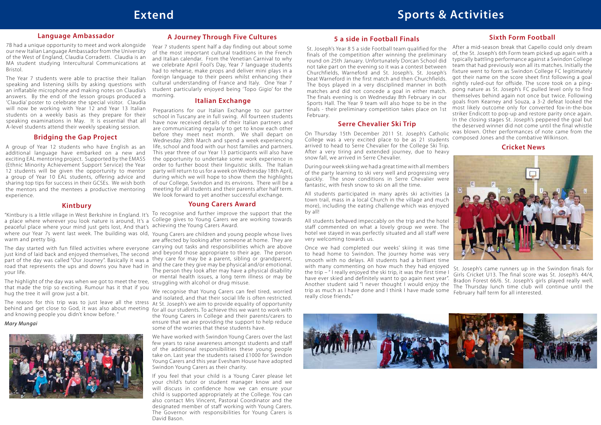# **A Journey Through Five Cultures**

Year 7 students spent half a day finding out about some of the most important cultural traditions in the French and Italian calendar. From the Venetian Carnival to why we celebrate April Fool's Day, Year 7 language students had to rehearse, make props and deliver mini plays in a foreign language to their peers whilst enhancing their cultural understanding of France and Italy. One Year 7 student particularly enjoyed being 'Topo Gigio' for the morning.

# **Bridging the Gap Project**

A group of Year 12 students who have English as an additional language have embarked on a new and exciting EAL mentoring project. Supported by the EMASS (Ethnic Minority Achievement Support Service) the Year 12 students will be given the opportunity to mentor a group of Year 10 EAL students, offering advice and sharing top tips for success in their GCSEs. We wish both the mentors and the mentees a productive mentoring experience.

## **Language Ambassador**

7B had a unique opportunity to meet and work alongside our new Italian Language Ambassador from the University of the West of England, Claudia Corradetti. Claudia is an MA student studying Intercultural Communications at Bristol.

The Year 7 students were able to practise their Italian speaking and listening skills by asking questions with an inflatable microphone and making notes on Claudia's answers. By the end of the lesson groups produced a 'Claudia' poster to celebrate the special visitor. Claudia will now be working with Year 12 and Year 13 Italian students on a weekly basis as they prepare for their speaking examinations in May. It is essential that all A-level students attend their weekly speaking session.

## **Italian Exchange**

Preparations for our Italian Exchange to our partner school in Tuscany are in full swing. All fourteen students have now received details of their Italian partners and are communicating regularly to get to know each other before they meet next month. We shall depart on Wednesday 28th March and spend a week experiencing life, school and food with our host families and partners. This year three of our Year 13 participants will also have the opportunity to undertake some work experience in order to further boost their linguistic skills. The Italian party will return to us for a week on Wednesday 18th April, during which we will hope to show them the highlights of our College, Swindon and its environs. There will be a meeting for all students and their parents after half term. We look forward to yet another successful exchange.

#### **Sixth Form Football**

a praceful place where your mind just gets lost, And that's achieving the Young Carers Award. where our Year 7s went last week. The building was old, Young Carers are children and young people whose lives "Kintbury is a little village in West Berkshire in England. It's a place where wherever you look nature is around, It's a warm and pretty big.

just kind of laid back and enjoyed themselves, The second and beyond those appropriate to their age. The person part of the day was called "Our Journey". Basically it was a they care for may be a parent, sibling or grandparent, road that represents the ups and downs you have had in and the care they give may be physical and/or emotional. your life.

The highlight of the day was when we got to meet the tree, struggling with alcohol or drug misuse. that made the trip so exciting. Rumour has it that if you hug the tree it will grow just a bit.

The reason for this trip was to just leave all the stress At St. Joseph's we aim to provide equality of opportunity behind and get close to God, it was also about meeting for all our students. To achieve this we want to work with and knowing people you didn't know before. "

### **Young Carers Award**

To recognise and further improve the support that the College gives to Young Carers we are working towards

are affected by looking after someone at home. They are The day started with fun filled activities where everyone carrying out tasks and responsibilities which are above The person they look after may have a physical disability or mental health issues, a long term illness or may be

> We recognise that Young Carers can feel tired, worried and isolated, and that their social life is often restricted. the Young Carers in College and their parents/carers to ensure that we are providing the support to help reduce some of the worries that these students have.

> We have worked with Swindon Young Carers over the last few years to raise awareness amongst students and staff of the additional responsibilities these young people take on. Last year the students raised £1000 for Swindon Young Carers and this year Evesham House have adopted Swindon Young Carers as their charity.

> If you feel that your child is a Young Carer please let your child's tutor or student manager know and we will discuss in confidence how we can ensure your child is supported appropriately at the College. You can also contact Mrs Vincent, Pastoral Coordinator and the designated member of staff working with Young Carers. The Governor with responsibilities for Young Carers is David Bason.

# **Kintbury**

After a mid-season break that Capello could only dream of, the St. Joseph's 6th Form team picked up again with a typically battling performance against a Swindon College team that had previously won all its matches. Initially the fixture went to form as Swindon College FC legitimately got their name on the score sheet first following a goal rightly ruled-out for offside. The score took on a pingpong nature as St. Joseph's FC pulled level only to find themselves behind again not once but twice. Following goals from Kearney and Souza, a 3-2 defeat looked the most likely outcome only for converted fox-in-the-box striker Endicott to pop-up and restore parity once again. In the closing stages St. Joseph's peppered the goal but the deserved winner did not come until the final whistle On Thursday 15th December 2011 St. Joseph's Catholic was blown. Other performances of note came from the composed Jones and the combative Wilkinson. **Serre Chevalier Ski Trip** St. Joseph's Year 8 5 a side Football team qualified for the finals of the competition after winning the preliminary round on 25th January. Unfortunately Dorcan School did not take part on the evening so it was a contest between Churchfields, Warneford and St. Joseph's. St. Joseph's beat Warneford in the first match and then Churchfields. The boys played in a very disciplined manner in both matches and did not concede a goal in either match. The finals evening is on Wednesday 8th February in our Sports Hall. The Year 9 team will also hope to be in the finals - their preliminary competition takes place on 1st February.

#### *Mary Mungai*



College was a very excited place to be as 21 students arrived to head to Serre Chevalier for the College Ski Trip. After a very tiring and extended journey, due to heavy snow fall, we arrived in Serre Chevalier.

During our week skiing we had a great time with all members of the party learning to ski very well and progressing very quickly. The snow conditions in Serre Chevalier were fantastic, with fresh snow to ski on all the time.

All students participated in many après ski activities (a town trail, mass in a local Church in the village and much more), including the eating challenge which was enjoyed by all!

All students behaved impeccably on the trip and the hotel staff commented on what a lovely group we were. The hotel we stayed in was perfectly situated and all staff were very welcoming towards us.

Once we had completed our weeks' skiing it was time to head home to Swindon. The journey home was very smooth with no delays. All students had a brilliant time with many commenting on how much they had enjoyed the trip – " I really enjoyed the ski trip, it was the first time I have ever skied and definitely want to go again next year". Another student said "I never thought I would enjoy the trip as much as I have done and I think I have made some really close friends." St. Joseph's came runners up in the Swindon finals for Girls Cricket U13. The final score was St. Joseph's 44/4, Bradon Forest 66/6. St. Joseph's girls played really well. The Thursday lunch time club will continue until the February half term for all interested.



#### **Cricket News**



# **5 a side in Football Finals**